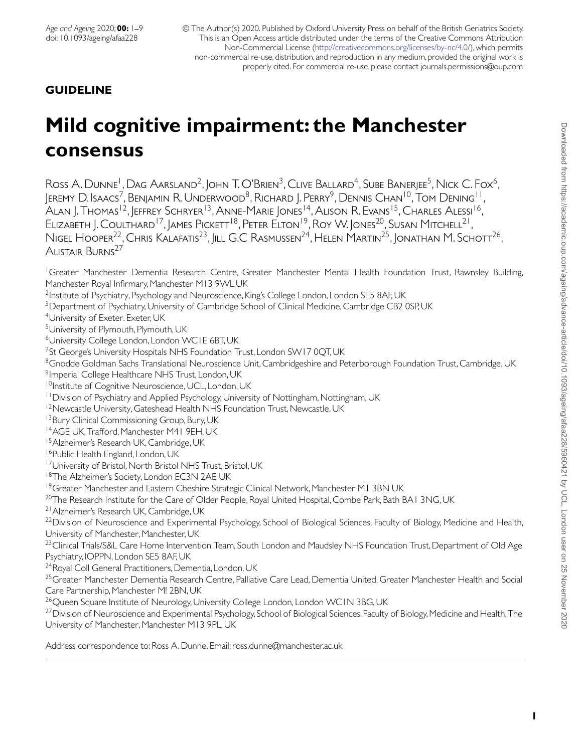# **GUIDELINE**

# **Mild cognitive impairment: the Manchester consensus**

Ross A. Dunne<sup>1</sup>, Dag Aarsland<sup>2</sup>, John T. O'Brien<sup>3</sup>, Clive Ballard<sup>4</sup>, Sube Banerjee<sup>5</sup>, Nick C. Fox<sup>6</sup>, JEREMY D. ISAACS<sup>7</sup>, BENJAMIN R. UNDERWOOD<sup>8</sup>, RICHARD J. PERRY<sup>9</sup>, DENNIS CHAN<sup>10</sup>, TOM DENING<sup>11</sup> Alan J. Thomas<sup>12</sup>, Jeffrey Schryer<sup>13</sup>, Anne-Marie Jones<sup>14</sup>, Alison R. Evans<sup>15</sup>, Charles Alessi<sup>16</sup>, Elizabeth J. Coulthard<sup>17</sup>, James Pickett<sup>18</sup>, Peter Elton<sup>19</sup>, Roy W. Jones<sup>20</sup>, Susan Mitchell<sup>21</sup>, Nigel Hooper<sup>22</sup>, Chris Kalafatis<sup>23</sup>, Jill G.C Rasmussen<sup>24</sup>, Helen Martin<sup>25</sup>, Jonathan M. Schott<sup>26</sup>, Alistair Burns27

<sup>3</sup>Department of Psychiatry, University of Cambridge School of Clinical Medicine, Cambridge CB2 0SP, UK

4University of Exeter. Exeter, UK

5University of Plymouth, Plymouth, UK

6University College London, London WC1E 6BT, UK

7St George's University Hospitals NHS Foundation Trust, London SW17 0QT, UK

8Gnodde Goldman Sachs Translational Neuroscience Unit, Cambridgeshire and Peterborough Foundation Trust, Cambridge, UK

<sup>9</sup>Imperial College Healthcare NHS Trust, London, UK

<sup>11</sup> Division of Psychiatry and Applied Psychology, University of Nottingham, Nottingham, UK

<sup>12</sup>Newcastle University, Gateshead Health NHS Foundation Trust, Newcastle, UK

<sup>13</sup> Bury Clinical Commissioning Group, Bury, UK

14AGE UK, Trafford, Manchester M41 9EH, UK

<sup>15</sup> Alzheimer's Research UK, Cambridge, UK

<sup>16</sup>Public Health England, London, UK

<sup>17</sup>University of Bristol, North Bristol NHS Trust, Bristol, UK

<sup>18</sup>The Alzheimer's Society, London EC3N 2AE UK

<sup>19</sup>Greater Manchester and Eastern Cheshire Strategic Clinical Network, Manchester M1 3BN UK

<sup>20</sup>The Research Institute for the Care of Older People, Royal United Hospital, Combe Park, Bath BA1 3NG, UK

<sup>21</sup> Alzheimer's Research UK, Cambridge, UK

<sup>22</sup>Division of Neuroscience and Experimental Psychology, School of Biological Sciences, Faculty of Biology, Medicine and Health, University of Manchester, Manchester, UK

<sup>23</sup>Clinical Trials/S&L Care Home Intervention Team, South London and Maudsley NHS Foundation Trust, Department of Old Age Psychiatry, IOPPN, London SE5 8AF, UK

24Royal Coll General Practitioners, Dementia, London, UK

<sup>25</sup>Greater Manchester Dementia Research Centre, Palliative Care Lead, Dementia United, Greater Manchester Health and Social Care Partnership, Manchester M! 2BN, UK

<sup>26</sup> Queen Square Institute of Neurology, University College London, London WC1N 3BG, UK

<sup>27</sup> Division of Neuroscience and Experimental Psychology, School of Biological Sciences, Faculty of Biology, Medicine and Health, The University of Manchester, Manchester M13 9PL, UK

Address correspondence to: Ross A. Dunne. Email: ross.dunne@manchester.ac.uk

<sup>1</sup>Greater Manchester Dementia Research Centre, Greater Manchester Mental Health Foundation Trust, Rawnsley Building, Manchester Royal Infirmary, Manchester M13 9WL,UK

<sup>&</sup>lt;sup>2</sup>Institute of Psychiatry, Psychology and Neuroscience, King's College London, London SE5 8AF, UK

<sup>&</sup>lt;sup>10</sup>Institute of Cognitive Neuroscience, UCL, London, UK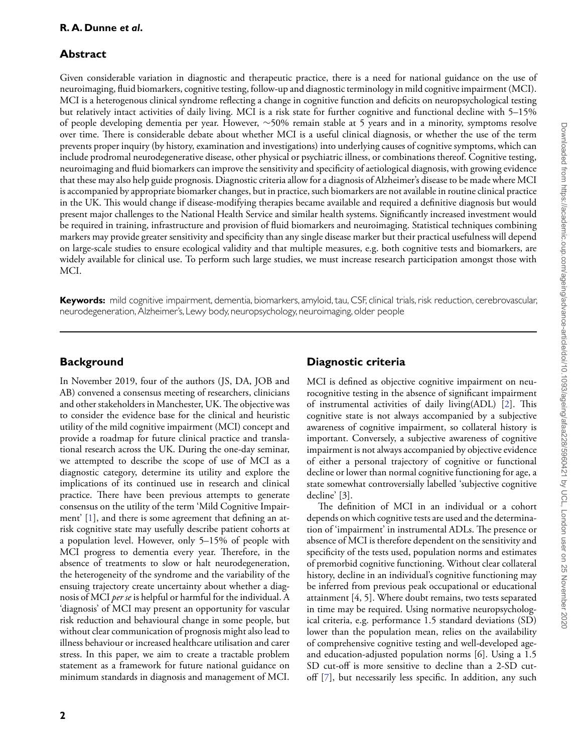## **Abstract**

Given considerable variation in diagnostic and therapeutic practice, there is a need for national guidance on the use of neuroimaging, fluid biomarkers, cognitive testing, follow-up and diagnostic terminology in mild cognitive impairment (MCI). MCI is a heterogenous clinical syndrome reflecting a change in cognitive function and deficits on neuropsychological testing but relatively intact activities of daily living. MCI is a risk state for further cognitive and functional decline with 5–15% of people developing dementia per year. However, ∼50% remain stable at 5 years and in a minority, symptoms resolve over time. There is considerable debate about whether MCI is a useful clinical diagnosis, or whether the use of the term prevents proper inquiry (by history, examination and investigations) into underlying causes of cognitive symptoms, which can include prodromal neurodegenerative disease, other physical or psychiatric illness, or combinations thereof. Cognitive testing, neuroimaging and fluid biomarkers can improve the sensitivity and specificity of aetiological diagnosis, with growing evidence that these may also help guide prognosis. Diagnostic criteria allow for a diagnosis of Alzheimer's disease to be made where MCI is accompanied by appropriate biomarker changes, but in practice, such biomarkers are not available in routine clinical practice in the UK. This would change if disease-modifying therapies became available and required a definitive diagnosis but would present major challenges to the National Health Service and similar health systems. Significantly increased investment would be required in training, infrastructure and provision of fluid biomarkers and neuroimaging. Statistical techniques combining markers may provide greater sensitivity and specificity than any single disease marker but their practical usefulness will depend on large-scale studies to ensure ecological validity and that multiple measures, e.g. both cognitive tests and biomarkers, are widely available for clinical use. To perform such large studies, we must increase research participation amongst those with MCI.

**Keywords:** mild cognitive impairment, dementia, biomarkers, amyloid, tau, CSF, clinical trials, risk reduction, cerebrovascular, neurodegeneration, Alzheimer's, Lewy body, neuropsychology, neuroimaging, older people

# **Background**

In November 2019, four of the authors (JS, DA, JOB and AB) convened a consensus meeting of researchers, clinicians and other stakeholders in Manchester, UK. The objective was to consider the evidence base for the clinical and heuristic utility of the mild cognitive impairment (MCI) concept and provide a roadmap for future clinical practice and translational research across the UK. During the one-day seminar, we attempted to describe the scope of use of MCI as a diagnostic category, determine its utility and explore the implications of its continued use in research and clinical practice. There have been previous attempts to generate consensus on the utility of the term 'Mild Cognitive Impairment' [\[1\]](#page-7-0), and there is some agreement that defining an atrisk cognitive state may usefully describe patient cohorts at a population level. However, only 5–15% of people with MCI progress to dementia every year. Therefore, in the absence of treatments to slow or halt neurodegeneration, the heterogeneity of the syndrome and the variability of the ensuing trajectory create uncertainty about whether a diagnosis of MCI *per se* is helpful or harmful for the individual. A 'diagnosis' of MCI may present an opportunity for vascular risk reduction and behavioural change in some people, but without clear communication of prognosis might also lead to illness behaviour or increased healthcare utilisation and carer stress. In this paper, we aim to create a tractable problem statement as a framework for future national guidance on minimum standards in diagnosis and management of MCI.

# **Diagnostic criteria**

MCI is defined as objective cognitive impairment on neurocognitive testing in the absence of significant impairment of instrumental activities of daily living(ADL) [\[2\]](#page-7-1). This cognitive state is not always accompanied by a subjective awareness of cognitive impairment, so collateral history is important. Conversely, a subjective awareness of cognitive impairment is not always accompanied by objective evidence of either a personal trajectory of cognitive or functional decline or lower than normal cognitive functioning for age, a state somewhat controversially labelled 'subjective cognitive decline' [3].

The definition of MCI in an individual or a cohort depends on which cognitive tests are used and the determination of 'impairment' in instrumental ADLs. The presence or absence of MCI is therefore dependent on the sensitivity and specificity of the tests used, population norms and estimates of premorbid cognitive functioning. Without clear collateral history, decline in an individual's cognitive functioning may be inferred from previous peak occupational or educational attainment [4, 5]. Where doubt remains, two tests separated in time may be required. Using normative neuropsychological criteria, e.g. performance 1.5 standard deviations (SD) lower than the population mean, relies on the availability of comprehensive cognitive testing and well-developed ageand education-adjusted population norms [6]. Using a 1.5 SD cut-off is more sensitive to decline than a 2-SD cutoff [\[7\]](#page-7-2), but necessarily less specific. In addition, any such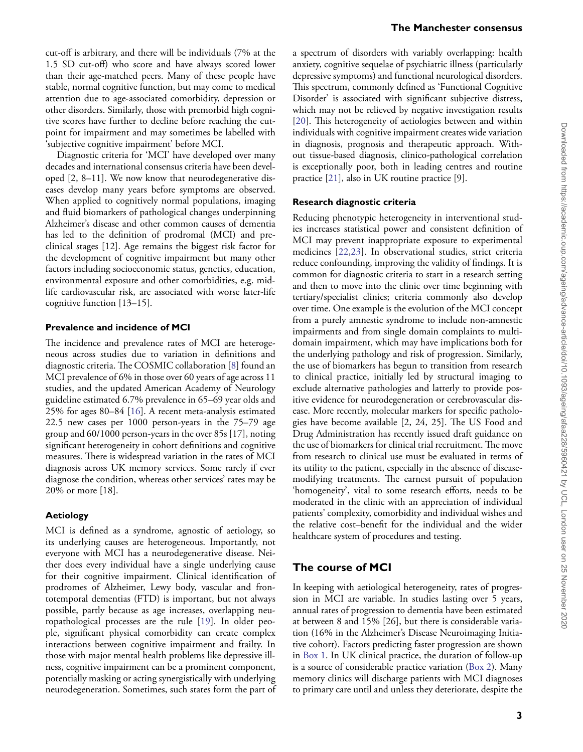cut-off is arbitrary, and there will be individuals (7% at the 1.5 SD cut-off) who score and have always scored lower than their age-matched peers. Many of these people have stable, normal cognitive function, but may come to medical attention due to age-associated comorbidity, depression or other disorders. Similarly, those with premorbid high cognitive scores have further to decline before reaching the cutpoint for impairment and may sometimes be labelled with 'subjective cognitive impairment' before MCI.

Diagnostic criteria for 'MCI' have developed over many decades and international consensus criteria have been developed [2, 8–11]. We now know that neurodegenerative diseases develop many years before symptoms are observed. When applied to cognitively normal populations, imaging and fluid biomarkers of pathological changes underpinning Alzheimer's disease and other common causes of dementia has led to the definition of prodromal (MCI) and preclinical stages [12]. Age remains the biggest risk factor for the development of cognitive impairment but many other factors including socioeconomic status, genetics, education, environmental exposure and other comorbidities, e.g. midlife cardiovascular risk, are associated with worse later-life cognitive function [13–15].

#### **Prevalence and incidence of MCI**

The incidence and prevalence rates of MCI are heterogeneous across studies due to variation in definitions and diagnostic criteria. The COSMIC collaboration [\[8\]](#page-7-3) found an MCI prevalence of 6% in those over 60 years of age across 11 studies, and the updated American Academy of Neurology guideline estimated 6.7% prevalence in 65–69 year olds and 25% for ages 80–84 [\[16\]](#page-7-4). A recent meta-analysis estimated 22.5 new cases per 1000 person-years in the 75–79 age group and 60/1000 person-years in the over 85s [17], noting significant heterogeneity in cohort definitions and cognitive measures. There is widespread variation in the rates of MCI diagnosis across UK memory services. Some rarely if ever diagnose the condition, whereas other services' rates may be 20% or more [18].

## **Aetiology**

MCI is defined as a syndrome, agnostic of aetiology, so its underlying causes are heterogeneous. Importantly, not everyone with MCI has a neurodegenerative disease. Neither does every individual have a single underlying cause for their cognitive impairment. Clinical identification of prodromes of Alzheimer, Lewy body, vascular and frontotemporal dementias (FTD) is important, but not always possible, partly because as age increases, overlapping neuropathological processes are the rule [\[19\]](#page-7-5). In older people, significant physical comorbidity can create complex interactions between cognitive impairment and frailty. In those with major mental health problems like depressive illness, cognitive impairment can be a prominent component, potentially masking or acting synergistically with underlying neurodegeneration. Sometimes, such states form the part of a spectrum of disorders with variably overlapping: health anxiety, cognitive sequelae of psychiatric illness (particularly depressive symptoms) and functional neurological disorders. This spectrum, commonly defined as 'Functional Cognitive Disorder' is associated with significant subjective distress, which may not be relieved by negative investigation results [\[20\]](#page-7-6). This heterogeneity of aetiologies between and within individuals with cognitive impairment creates wide variation in diagnosis, prognosis and therapeutic approach. Without tissue-based diagnosis, clinico-pathological correlation is exceptionally poor, both in leading centres and routine practice [\[21\]](#page-7-7), also in UK routine practice [9].

## **Research diagnostic criteria**

Reducing phenotypic heterogeneity in interventional studies increases statistical power and consistent definition of MCI may prevent inappropriate exposure to experimental medicines [\[22,](#page-7-8)[23\]](#page-7-9). In observational studies, strict criteria reduce confounding, improving the validity of findings. It is common for diagnostic criteria to start in a research setting and then to move into the clinic over time beginning with tertiary/specialist clinics; criteria commonly also develop over time. One example is the evolution of the MCI concept from a purely amnestic syndrome to include non-amnestic impairments and from single domain complaints to multidomain impairment, which may have implications both for the underlying pathology and risk of progression. Similarly, the use of biomarkers has begun to transition from research to clinical practice, initially led by structural imaging to exclude alternative pathologies and latterly to provide positive evidence for neurodegeneration or cerebrovascular disease. More recently, molecular markers for specific pathologies have become available [2, 24, 25]. The US Food and Drug Administration has recently issued draft guidance on the use of biomarkers for clinical trial recruitment. The move from research to clinical use must be evaluated in terms of its utility to the patient, especially in the absence of diseasemodifying treatments. The earnest pursuit of population 'homogeneity', vital to some research efforts, needs to be moderated in the clinic with an appreciation of individual patients' complexity, comorbidity and individual wishes and the relative cost–benefit for the individual and the wider healthcare system of procedures and testing.

## **The course of MCI**

In keeping with aetiological heterogeneity, rates of progression in MCI are variable. In studies lasting over 5 years, annual rates of progression to dementia have been estimated at between 8 and 15% [26], but there is considerable variation (16% in the Alzheimer's Disease Neuroimaging Initiative cohort). Factors predicting faster progression are shown in [Box 1.](#page-3-0) In UK clinical practice, the duration of follow-up is a source of considerable practice variation [\(Box 2\)](#page-3-1). Many memory clinics will discharge patients with MCI diagnoses to primary care until and unless they deteriorate, despite the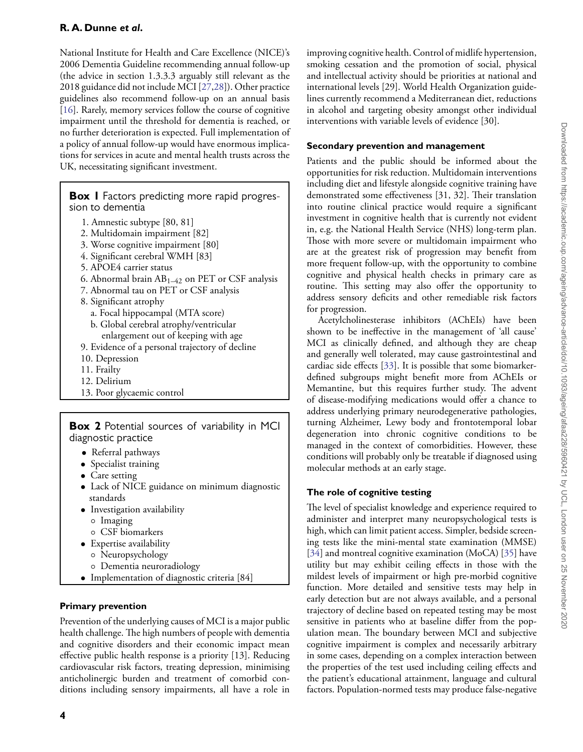## **R. A. Dunne** *et al***.**

National Institute for Health and Care Excellence (NICE)'s 2006 Dementia Guideline recommending annual follow-up (the advice in section 1.3.3.3 arguably still relevant as the 2018 guidance did not include MCI [\[27,](#page-7-10)[28\]](#page-7-11)). Other practice guidelines also recommend follow-up on an annual basis [\[16\]](#page-7-4). Rarely, memory services follow the course of cognitive impairment until the threshold for dementia is reached, or no further deterioration is expected. Full implementation of a policy of annual follow-up would have enormous implications for services in acute and mental health trusts across the UK, necessitating significant investment.

## <span id="page-3-0"></span>**Box 1** Factors predicting more rapid progression to dementia

- 1. Amnestic subtype [80, 81]
- 2. Multidomain impairment [82]
- 3. Worse cognitive impairment [80]
- 4. Significant cerebral WMH [83]
- 5. APOE4 carrier status
- 6. Abnormal brain  $AB_{1-42}$  on PET or CSF analysis
- 7. Abnormal tau on PET or CSF analysis
- 8. Significant atrophy
	- a. Focal hippocampal (MTA score)
	- b. Global cerebral atrophy/ventricular enlargement out of keeping with age
- 9. Evidence of a personal trajectory of decline
- 10. Depression
- 11. Frailty
- 12. Delirium
- 13. Poor glycaemic control

#### <span id="page-3-1"></span>**Box 2** Potential sources of variability in MCI diagnostic practice

- Referral pathways
- Specialist training
- Care setting
- Lack of NICE guidance on minimum diagnostic standards
- Investigation availability
	- Imaging
	- CSF biomarkers
- Expertise availability
- Neuropsychology
- Dementia neuroradiology
- Implementation of diagnostic criteria [84]

## **Primary prevention**

Prevention of the underlying causes of MCI is a major public health challenge. The high numbers of people with dementia and cognitive disorders and their economic impact mean effective public health response is a priority [13]. Reducing cardiovascular risk factors, treating depression, minimising anticholinergic burden and treatment of comorbid conditions including sensory impairments, all have a role in

improving cognitive health. Control of midlife hypertension, smoking cessation and the promotion of social, physical and intellectual activity should be priorities at national and international levels [29]. World Health Organization guidelines currently recommend a Mediterranean diet, reductions in alcohol and targeting obesity amongst other individual interventions with variable levels of evidence [30].

## **Secondary prevention and management**

Patients and the public should be informed about the opportunities for risk reduction. Multidomain interventions including diet and lifestyle alongside cognitive training have demonstrated some effectiveness [31, 32]. Their translation into routine clinical practice would require a significant investment in cognitive health that is currently not evident in, e.g. the National Health Service (NHS) long-term plan. Those with more severe or multidomain impairment who are at the greatest risk of progression may benefit from more frequent follow-up, with the opportunity to combine cognitive and physical health checks in primary care as routine. This setting may also offer the opportunity to address sensory deficits and other remediable risk factors for progression.

Acetylcholinesterase inhibitors (AChEIs) have been shown to be ineffective in the management of 'all cause' MCI as clinically defined, and although they are cheap and generally well tolerated, may cause gastrointestinal and cardiac side effects [\[33\]](#page-7-12). It is possible that some biomarkerdefined subgroups might benefit more from AChEIs or Memantine, but this requires further study. The advent of disease-modifying medications would offer a chance to address underlying primary neurodegenerative pathologies, turning Alzheimer, Lewy body and frontotemporal lobar degeneration into chronic cognitive conditions to be managed in the context of comorbidities. However, these conditions will probably only be treatable if diagnosed using molecular methods at an early stage.

## **The role of cognitive testing**

The level of specialist knowledge and experience required to administer and interpret many neuropsychological tests is high, which can limit patient access. Simpler, bedside screening tests like the mini-mental state examination (MMSE) [\[34\]](#page-7-12) and montreal cognitive examination (MoCA) [\[35\]](#page-7-12) have utility but may exhibit ceiling effects in those with the mildest levels of impairment or high pre-morbid cognitive function. More detailed and sensitive tests may help in early detection but are not always available, and a personal trajectory of decline based on repeated testing may be most sensitive in patients who at baseline differ from the population mean. The boundary between MCI and subjective cognitive impairment is complex and necessarily arbitrary in some cases, depending on a complex interaction between the properties of the test used including ceiling effects and the patient's educational attainment, language and cultural factors. Population-normed tests may produce false-negative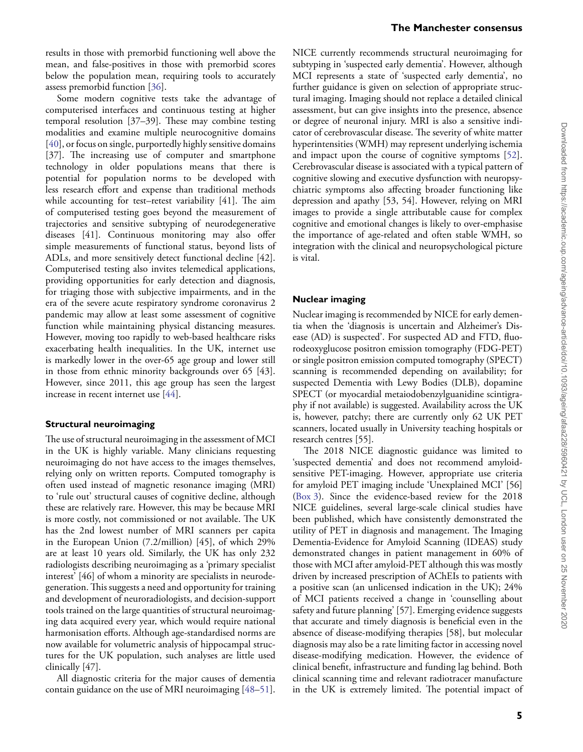results in those with premorbid functioning well above the mean, and false-positives in those with premorbid scores below the population mean, requiring tools to accurately assess premorbid function [\[36\]](#page-7-13).

Some modern cognitive tests take the advantage of computerised interfaces and continuous testing at higher temporal resolution [37–39]. These may combine testing modalities and examine multiple neurocognitive domains [\[40\]](#page-7-14), or focus on single, purportedly highly sensitive domains [37]. The increasing use of computer and smartphone technology in older populations means that there is potential for population norms to be developed with less research effort and expense than traditional methods while accounting for test–retest variability [41]. The aim of computerised testing goes beyond the measurement of trajectories and sensitive subtyping of neurodegenerative diseases [41]. Continuous monitoring may also offer simple measurements of functional status, beyond lists of ADLs, and more sensitively detect functional decline [42]. Computerised testing also invites telemedical applications, providing opportunities for early detection and diagnosis, for triaging those with subjective impairments, and in the era of the severe acute respiratory syndrome coronavirus 2 pandemic may allow at least some assessment of cognitive function while maintaining physical distancing measures. However, moving too rapidly to web-based healthcare risks exacerbating health inequalities. In the UK, internet use is markedly lower in the over-65 age group and lower still in those from ethnic minority backgrounds over 65 [43]. However, since 2011, this age group has seen the largest increase in recent internet use [\[44\]](#page-7-15).

#### **Structural neuroimaging**

The use of structural neuroimaging in the assessment of MCI in the UK is highly variable. Many clinicians requesting neuroimaging do not have access to the images themselves, relying only on written reports. Computed tomography is often used instead of magnetic resonance imaging (MRI) to 'rule out' structural causes of cognitive decline, although these are relatively rare. However, this may be because MRI is more costly, not commissioned or not available. The UK has the 2nd lowest number of MRI scanners per capita in the European Union (7.2/million) [45], of which 29% are at least 10 years old. Similarly, the UK has only 232 radiologists describing neuroimaging as a 'primary specialist interest' [46] of whom a minority are specialists in neurodegeneration. This suggests a need and opportunity for training and development of neuroradiologists, and decision-support tools trained on the large quantities of structural neuroimaging data acquired every year, which would require national harmonisation efforts. Although age-standardised norms are now available for volumetric analysis of hippocampal structures for the UK population, such analyses are little used clinically [47].

All diagnostic criteria for the major causes of dementia contain guidance on the use of MRI neuroimaging [\[48–](#page-7-16)51].

NICE currently recommends structural neuroimaging for subtyping in 'suspected early dementia'. However, although MCI represents a state of 'suspected early dementia', no further guidance is given on selection of appropriate structural imaging. Imaging should not replace a detailed clinical assessment, but can give insights into the presence, absence or degree of neuronal injury. MRI is also a sensitive indicator of cerebrovascular disease. The severity of white matter hyperintensities (WMH) may represent underlying ischemia and impact upon the course of cognitive symptoms [\[52\]](#page-7-17). Cerebrovascular disease is associated with a typical pattern of cognitive slowing and executive dysfunction with neuropsychiatric symptoms also affecting broader functioning like depression and apathy [53, 54]. However, relying on MRI images to provide a single attributable cause for complex cognitive and emotional changes is likely to over-emphasise the importance of age-related and often stable WMH, so integration with the clinical and neuropsychological picture is vital.

#### **Nuclear imaging**

Nuclear imaging is recommended by NICE for early dementia when the 'diagnosis is uncertain and Alzheimer's Disease (AD) is suspected'. For suspected AD and FTD, fluorodeoxyglucose positron emission tomography (FDG-PET) or single positron emission computed tomography (SPECT) scanning is recommended depending on availability; for suspected Dementia with Lewy Bodies (DLB), dopamine SPECT (or myocardial metaiodobenzylguanidine scintigraphy if not available) is suggested. Availability across the UK is, however, patchy; there are currently only 62 UK PET scanners, located usually in University teaching hospitals or research centres [55].

The 2018 NICE diagnostic guidance was limited to 'suspected dementia' and does not recommend amyloidsensitive PET-imaging. However, appropriate use criteria for amyloid PET imaging include 'Unexplained MCI' [56] [\(Box 3\)](#page-5-0). Since the evidence-based review for the 2018 NICE guidelines, several large-scale clinical studies have been published, which have consistently demonstrated the utility of PET in diagnosis and management. The Imaging Dementia-Evidence for Amyloid Scanning (IDEAS) study demonstrated changes in patient management in 60% of those with MCI after amyloid-PET although this was mostly driven by increased prescription of AChEIs to patients with a positive scan (an unlicensed indication in the UK); 24% of MCI patients received a change in 'counselling about safety and future planning' [57]. Emerging evidence suggests that accurate and timely diagnosis is beneficial even in the absence of disease-modifying therapies [58], but molecular diagnosis may also be a rate limiting factor in accessing novel disease-modifying medication. However, the evidence of clinical benefit, infrastructure and funding lag behind. Both clinical scanning time and relevant radiotracer manufacture in the UK is extremely limited. The potential impact of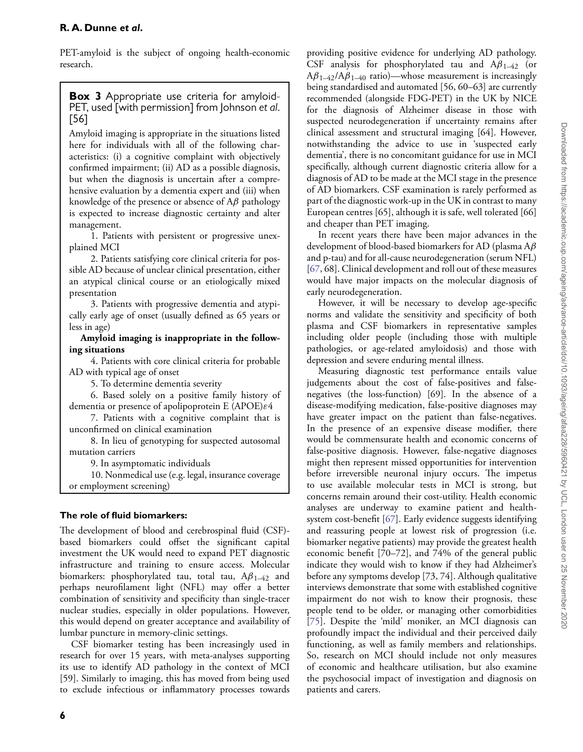PET-amyloid is the subject of ongoing health-economic research.

<span id="page-5-0"></span>**Box 3** Appropriate use criteria for amyloid-PET, used [with permission] from Johnson *et al*. [56]

Amyloid imaging is appropriate in the situations listed here for individuals with all of the following characteristics: (i) a cognitive complaint with objectively confirmed impairment; (ii) AD as a possible diagnosis, but when the diagnosis is uncertain after a comprehensive evaluation by a dementia expert and (iii) when knowledge of the presence or absence of A*β* pathology is expected to increase diagnostic certainty and alter management.

1. Patients with persistent or progressive unexplained MCI

2. Patients satisfying core clinical criteria for possible AD because of unclear clinical presentation, either an atypical clinical course or an etiologically mixed presentation

3. Patients with progressive dementia and atypically early age of onset (usually defined as 65 years or less in age)

**Amyloid imaging is inappropriate in the following situations**

4. Patients with core clinical criteria for probable AD with typical age of onset

5. To determine dementia severity

6. Based solely on a positive family history of dementia or presence of apolipoprotein E (APOE)*ε*4

7. Patients with a cognitive complaint that is unconfirmed on clinical examination

8. In lieu of genotyping for suspected autosomal mutation carriers

9. In asymptomatic individuals

10. Nonmedical use (e.g. legal, insurance coverage or employment screening)

#### **The role of fluid biomarkers:**

The development of blood and cerebrospinal fluid (CSF) based biomarkers could offset the significant capital investment the UK would need to expand PET diagnostic infrastructure and training to ensure access. Molecular biomarkers: phosphorylated tau, total tau, A*β*1–42 and perhaps neurofilament light (NFL) may offer a better combination of sensitivity and specificity than single-tracer nuclear studies, especially in older populations. However, this would depend on greater acceptance and availability of lumbar puncture in memory-clinic settings.

CSF biomarker testing has been increasingly used in research for over 15 years, with meta-analyses supporting its use to identify AD pathology in the context of MCI [59]. Similarly to imaging, this has moved from being used to exclude infectious or inflammatory processes towards providing positive evidence for underlying AD pathology. CSF analysis for phosphorylated tau and A*β*1–42 (or  $A\beta_{1-42}/A\beta_{1-40}$  ratio)—whose measurement is increasingly being standardised and automated [56, 60–63] are currently recommended (alongside FDG-PET) in the UK by NICE for the diagnosis of Alzheimer disease in those with suspected neurodegeneration if uncertainty remains after clinical assessment and structural imaging [64]. However, notwithstanding the advice to use in 'suspected early dementia', there is no concomitant guidance for use in MCI specifically, although current diagnostic criteria allow for a diagnosis of AD to be made at the MCI stage in the presence of AD biomarkers. CSF examination is rarely performed as part of the diagnostic work-up in the UK in contrast to many European centres [65], although it is safe, well tolerated [66] and cheaper than PET imaging.

In recent years there have been major advances in the development of blood-based biomarkers for AD (plasma A*β* and p-tau) and for all-cause neurodegeneration (serum NFL) [\[67,](#page-8-0) 68]. Clinical development and roll out of these measures would have major impacts on the molecular diagnosis of early neurodegeneration.

However, it will be necessary to develop age-specific norms and validate the sensitivity and specificity of both plasma and CSF biomarkers in representative samples including older people (including those with multiple pathologies, or age-related amyloidosis) and those with depression and severe enduring mental illness.

Measuring diagnostic test performance entails value judgements about the cost of false-positives and falsenegatives (the loss-function) [69]. In the absence of a disease-modifying medication, false-positive diagnoses may have greater impact on the patient than false-negatives. In the presence of an expensive disease modifier, there would be commensurate health and economic concerns of false-positive diagnosis. However, false-negative diagnoses might then represent missed opportunities for intervention before irreversible neuronal injury occurs. The impetus to use available molecular tests in MCI is strong, but concerns remain around their cost-utility. Health economic analyses are underway to examine patient and healthsystem cost-benefit [\[67\]](#page-8-0). Early evidence suggests identifying and reassuring people at lowest risk of progression (i.e. biomarker negative patients) may provide the greatest health economic benefit [70–72], and 74% of the general public indicate they would wish to know if they had Alzheimer's before any symptoms develop [73, 74]. Although qualitative interviews demonstrate that some with established cognitive impairment do not wish to know their prognosis, these people tend to be older, or managing other comorbidities [\[75\]](#page-8-1). Despite the 'mild' moniker, an MCI diagnosis can profoundly impact the individual and their perceived daily functioning, as well as family members and relationships. So, research on MCI should include not only measures of economic and healthcare utilisation, but also examine the psychosocial impact of investigation and diagnosis on patients and carers.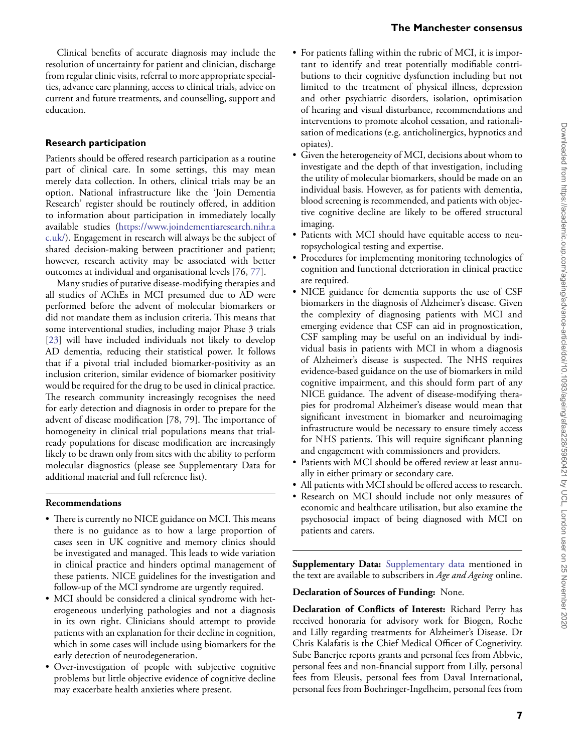Clinical benefits of accurate diagnosis may include the resolution of uncertainty for patient and clinician, discharge from regular clinic visits, referral to more appropriate specialties, advance care planning, access to clinical trials, advice on current and future treatments, and counselling, support and education.

#### **Research participation**

Patients should be offered research participation as a routine part of clinical care. In some settings, this may mean merely data collection. In others, clinical trials may be an option. National infrastructure like the 'Join Dementia Research' register should be routinely offered, in addition to information about participation in immediately locally available studies [\(https://www.joindementiaresearch.nihr.a](https://www.joindementiaresearch.nihr.ac.uk/) [c.uk/\)](https://www.joindementiaresearch.nihr.ac.uk/). Engagement in research will always be the subject of shared decision-making between practitioner and patient; however, research activity may be associated with better outcomes at individual and organisational levels [76, [77\]](#page-8-2).

Many studies of putative disease-modifying therapies and all studies of AChEs in MCI presumed due to AD were performed before the advent of molecular biomarkers or did not mandate them as inclusion criteria. This means that some interventional studies, including major Phase 3 trials [\[23\]](#page-7-9) will have included individuals not likely to develop AD dementia, reducing their statistical power. It follows that if a pivotal trial included biomarker-positivity as an inclusion criterion, similar evidence of biomarker positivity would be required for the drug to be used in clinical practice. The research community increasingly recognises the need for early detection and diagnosis in order to prepare for the advent of disease modification [78, 79]. The importance of homogeneity in clinical trial populations means that trialready populations for disease modification are increasingly likely to be drawn only from sites with the ability to perform molecular diagnostics (please see Supplementary Data for additional material and full reference list).

#### **Recommendations**

- There is currently no NICE guidance on MCI. This means there is no guidance as to how a large proportion of cases seen in UK cognitive and memory clinics should be investigated and managed. This leads to wide variation in clinical practice and hinders optimal management of these patients. NICE guidelines for the investigation and follow-up of the MCI syndrome are urgently required.
- MCI should be considered a clinical syndrome with heterogeneous underlying pathologies and not a diagnosis in its own right. Clinicians should attempt to provide patients with an explanation for their decline in cognition, which in some cases will include using biomarkers for the early detection of neurodegeneration.
- Over-investigation of people with subjective cognitive problems but little objective evidence of cognitive decline may exacerbate health anxieties where present.
- For patients falling within the rubric of MCI, it is important to identify and treat potentially modifiable contributions to their cognitive dysfunction including but not limited to the treatment of physical illness, depression and other psychiatric disorders, isolation, optimisation of hearing and visual disturbance, recommendations and interventions to promote alcohol cessation, and rationalisation of medications (e.g. anticholinergics, hypnotics and opiates).
- Given the heterogeneity of MCI, decisions about whom to investigate and the depth of that investigation, including the utility of molecular biomarkers, should be made on an individual basis. However, as for patients with dementia, blood screening is recommended, and patients with objective cognitive decline are likely to be offered structural imaging.
- Patients with MCI should have equitable access to neuropsychological testing and expertise.
- Procedures for implementing monitoring technologies of cognition and functional deterioration in clinical practice are required.
- NICE guidance for dementia supports the use of CSF biomarkers in the diagnosis of Alzheimer's disease. Given the complexity of diagnosing patients with MCI and emerging evidence that CSF can aid in prognostication, CSF sampling may be useful on an individual by individual basis in patients with MCI in whom a diagnosis of Alzheimer's disease is suspected. The NHS requires evidence-based guidance on the use of biomarkers in mild cognitive impairment, and this should form part of any NICE guidance. The advent of disease-modifying therapies for prodromal Alzheimer's disease would mean that significant investment in biomarker and neuroimaging infrastructure would be necessary to ensure timely access for NHS patients. This will require significant planning and engagement with commissioners and providers.
- Patients with MCI should be offered review at least annually in either primary or secondary care.
- All patients with MCI should be offered access to research.
- Research on MCI should include not only measures of economic and healthcare utilisation, but also examine the psychosocial impact of being diagnosed with MCI on patients and carers.

**Supplementary Data:** [Supplementary data](https://academic.oup.com/ageing/article-lookup/doi/10.1093/ageing/afaa228#supplementary-data) mentioned in the text are available to subscribers in *Age and Ageing* online.

#### **Declaration of Sources of Funding:** None.

**Declaration of Conflicts of Interest:** Richard Perry has received honoraria for advisory work for Biogen, Roche and Lilly regarding treatments for Alzheimer's Disease. Dr Chris Kalafatis is the Chief Medical Officer of Cognetivity. Sube Banerjee reports grants and personal fees from Abbvie, personal fees and non-financial support from Lilly, personal fees from Eleusis, personal fees from Daval International, personal fees from Boehringer-Ingelheim, personal fees from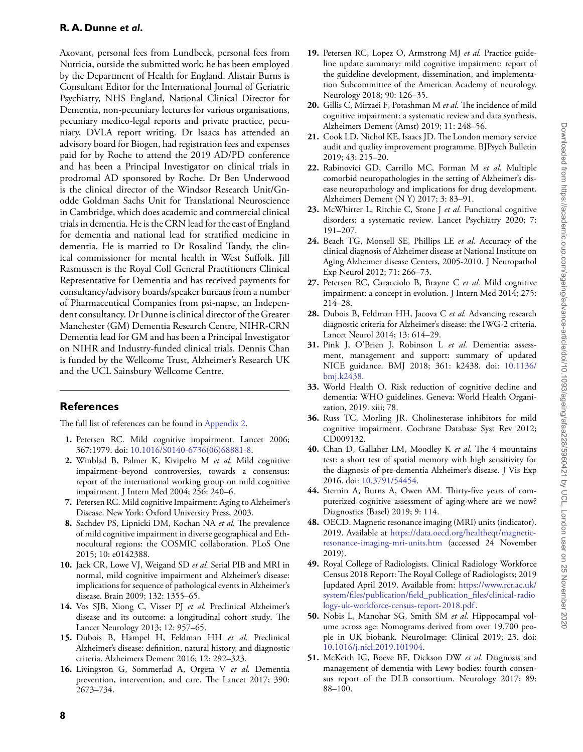## **R. A. Dunne** *et al***.**

Axovant, personal fees from Lundbeck, personal fees from Nutricia, outside the submitted work; he has been employed by the Department of Health for England. Alistair Burns is Consultant Editor for the International Journal of Geriatric Psychiatry, NHS England, National Clinical Director for Dementia, non-pecuniary lectures for various organisations, pecuniary medico-legal reports and private practice, pecuniary, DVLA report writing. Dr Isaacs has attended an advisory board for Biogen, had registration fees and expenses paid for by Roche to attend the 2019 AD/PD conference and has been a Principal Investigator on clinical trials in prodromal AD sponsored by Roche. Dr Ben Underwood is the clinical director of the Windsor Research Unit/Gnodde Goldman Sachs Unit for Translational Neuroscience in Cambridge, which does academic and commercial clinical trials in dementia. He is the CRN lead for the east of England for dementia and national lead for stratified medicine in dementia. He is married to Dr Rosalind Tandy, the clinical commissioner for mental health in West Suffolk. Jill Rasmussen is the Royal Coll General Practitioners Clinical Representative for Dementia and has received payments for consultancy/advisory boards/speaker bureaus from a number of Pharmaceutical Companies from psi-napse, an Independent consultancy. Dr Dunne is clinical director of the Greater Manchester (GM) Dementia Research Centre, NIHR-CRN Dementia lead for GM and has been a Principal Investigator on NIHR and Industry-funded clinical trials. Dennis Chan is funded by the Wellcome Trust, Alzheimer's Research UK and the UCL Sainsbury Wellcome Centre.

## **References**

The full list of references can be found in [Appendix 2.](https://academic.oup.com/ageing/article-lookup/doi/10.1093/ageing/afaa228#supplementary-data)

- <span id="page-7-0"></span>**1.** Petersen RC. Mild cognitive impairment. Lancet 2006; 367:1979. doi: [10.1016/S0140-6736\(06\)68881-8.](https://doi.org/10.1016/S0140-6736(06)68881-8)
- **2.** Winblad B, Palmer K, Kivipelto M *et al.* Mild cognitive impairment–beyond controversies, towards a consensus: report of the international working group on mild cognitive impairment. J Intern Med 2004; 256: 240–6.
- **7.** Petersen RC. Mild cognitive Impairment: Aging to Alzheimer's Disease. New York: Oxford University Press, 2003.
- **8.** Sachdev PS, Lipnicki DM, Kochan NA *et al.* The prevalence of mild cognitive impairment in diverse geographical and Ethnocultural regions: the COSMIC collaboration. PLoS One 2015; 10: e0142388.
- **10.** Jack CR, Lowe VJ, Weigand SD *et al.* Serial PIB and MRI in normal, mild cognitive impairment and Alzheimer's disease: implications for sequence of pathological events in Alzheimer's disease. Brain 2009; 132: 1355–65.
- **14.** Vos SJB, Xiong C, Visser PJ *et al.* Preclinical Alzheimer's disease and its outcome: a longitudinal cohort study. The Lancet Neurology 2013; 12: 957–65.
- **15.** Dubois B, Hampel H, Feldman HH *et al.* Preclinical Alzheimer's disease: definition, natural history, and diagnostic criteria. Alzheimers Dement 2016; 12: 292–323.
- <span id="page-7-5"></span>**16.** Livingston G, Sommerlad A, Orgeta V *et al.* Dementia prevention, intervention, and care. The Lancet 2017; 390: 2673–734.
- **19.** Petersen RC, Lopez O, Armstrong MJ *et al.* Practice guideline update summary: mild cognitive impairment: report of the guideline development, dissemination, and implementation Subcommittee of the American Academy of neurology. Neurology 2018; 90: 126–35.
- <span id="page-7-6"></span>**20.** Gillis C, Mirzaei F, Potashman M *et al.* The incidence of mild cognitive impairment: a systematic review and data synthesis. Alzheimers Dement (Amst) 2019; 11: 248–56.
- <span id="page-7-7"></span>**21.** Cook LD, Nichol KE, Isaacs JD. The London memory service audit and quality improvement programme. BJPsych Bulletin 2019; 43: 215–20.
- <span id="page-7-8"></span>**22.** Rabinovici GD, Carrillo MC, Forman M *et al.* Multiple comorbid neuropathologies in the setting of Alzheimer's disease neuropathology and implications for drug development. Alzheimers Dement (N Y) 2017; 3: 83–91.
- <span id="page-7-9"></span>**23.** McWhirter L, Ritchie C, Stone J *et al.* Functional cognitive disorders: a systematic review. Lancet Psychiatry 2020; 7: 191–207.
- **24.** Beach TG, Monsell SE, Phillips LE *et al.* Accuracy of the clinical diagnosis of Alzheimer disease at National Institute on Aging Alzheimer disease Centers, 2005-2010. J Neuropathol Exp Neurol 2012; 71: 266–73.
- <span id="page-7-10"></span>**27.** Petersen RC, Caracciolo B, Brayne C *et al.* Mild cognitive impairment: a concept in evolution. J Intern Med 2014; 275: 214–28.
- <span id="page-7-11"></span>**28.** Dubois B, Feldman HH, Jacova C *et al.* Advancing research diagnostic criteria for Alzheimer's disease: the IWG-2 criteria. Lancet Neurol 2014; 13: 614–29.
- **31.** Pink J, O'Brien J, Robinson L *et al.* Dementia: assessment, management and support: summary of updated [NICE guidance. BMJ 2018; 361: k2438. doi:](https://doi.org/10.1136/bmj.k2438) 10.1136/ bmj.k2438.
- <span id="page-7-12"></span>**33.** World Health O. Risk reduction of cognitive decline and dementia: WHO guidelines. Geneva: World Health Organization, 2019. xiii; 78.
- <span id="page-7-13"></span>**36.** Russ TC, Morling JR. Cholinesterase inhibitors for mild cognitive impairment. Cochrane Database Syst Rev 2012; CD009132.
- <span id="page-7-14"></span><span id="page-7-1"></span>**40.** Chan D, Gallaher LM, Moodley K *et al.* The 4 mountains test: a short test of spatial memory with high sensitivity for the diagnosis of pre-dementia Alzheimer's disease. J Vis Exp 2016. doi: [10.3791/54454.](https://doi.org/10.3791/54454)
- <span id="page-7-15"></span><span id="page-7-2"></span>**44.** Sternin A, Burns A, Owen AM. Thirty-five years of computerized cognitive assessment of aging-where are we now? Diagnostics (Basel) 2019; 9: 114.
- <span id="page-7-16"></span><span id="page-7-3"></span>**48.** OECD. Magnetic resonance imaging (MRI) units (indicator). 2019. Available at [https://data.oecd.org/healtheqt/magnetic](https://data.oecd.org/healtheqt/magnetic-resonance-imaging-mri-units.htm)[resonance-imaging-mri-units.htm](https://data.oecd.org/healtheqt/magnetic-resonance-imaging-mri-units.htm) (accessed 24 November 2019).
- **49.** Royal College of Radiologists. Clinical Radiology Workforce Census 2018 Report: The Royal College of Radiologists; 2019 [updated April 2019. Available from: [https://www.rcr.ac.uk/](https://www.rcr.ac.uk/system/files/publication/field_publication_files/clinical-radiology-uk-workforce-census-report-2018.pdf) [system/files/publication/field\\_publication\\_files/clinical-radio](https://www.rcr.ac.uk/system/files/publication/field_publication_files/clinical-radiology-uk-workforce-census-report-2018.pdf) [logy-uk-workforce-census-report-2018.pdf.](https://www.rcr.ac.uk/system/files/publication/field_publication_files/clinical-radiology-uk-workforce-census-report-2018.pdf)
- **50.** Nobis L, Manohar SG, Smith SM *et al.* Hippocampal volume across age: Nomograms derived from over 19,700 people in UK biobank. NeuroImage: Clinical 2019; 23. doi: [10.1016/j.nicl.2019.101904.](https://doi.org/10.1016/j.nicl.2019.101904)
- <span id="page-7-17"></span><span id="page-7-4"></span>**51.** McKeith IG, Boeve BF, Dickson DW *et al.* Diagnosis and management of dementia with Lewy bodies: fourth consensus report of the DLB consortium. Neurology 2017; 89: 88–100.